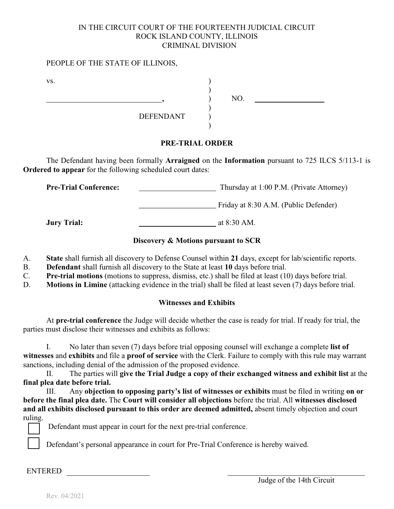## IN THE CIRCUIT COURT OF THE FOURTEENTH JUDICIAL CIRCUIT ROCK ISLAND COUNTY, ILLINOIS CRIMINAL DIVISION

#### PEOPLE OF THE STATE OF ILLINOIS,

| VS. |                  |     |  |
|-----|------------------|-----|--|
|     |                  | NO. |  |
|     |                  |     |  |
|     | <b>DEFENDANT</b> |     |  |
|     |                  |     |  |

# **PRE-TRIAL ORDER**

The Defendant having been formally **Arraigned** on the **Information** pursuant to 725 ILCS 5/113-1 is **Ordered to appear** for the following scheduled court dates:

**Pre-Trial Conference:** Thursday at 1:00 P.M. (Private Attorney)

**\_\_\_\_\_\_\_\_\_\_\_\_\_\_\_\_\_\_\_\_** Friday at 8:30 A.M. (Public Defender)

**Jury Trial:** at 8:30 AM.

# **Discovery & Motions pursuant to SCR**

- A. **State** shall furnish all discovery to Defense Counsel within **21** days, except for lab/scientific reports.
- B. **Defendant** shall furnish all discovery to the State at least **10** days before trial.
- C. **Pre-trial motions** (motions to suppress, dismiss, etc.) shall be filed at least (10) days before trial.
- D. **Motions in Limine** (attacking evidence in the trial) shall be filed at least seven (7) days before trial.

## **Witnesses and Exhibits**

At **pre-trial conference** the Judge will decide whether the case is ready for trial. If ready for trial, the parties must disclose their witnesses and exhibits as follows:

I. No later than seven (7) days before trial opposing counsel will exchange a complete **list of witnesses** and **exhibits** and file a **proof of service** with the Clerk. Failure to comply with this rule may warrant sanctions, including denial of the admission of the proposed evidence.

II. The parties will **give the Trial Judge a copy of their exchanged witness and exhibit list** at the **final plea date before trial.**

III. Any **objection to opposing party's list of witnesses or exhibits** must be filed in writing **on or before the final plea date.** The **Court will consider all objections** before the trial. All **witnesses disclosed and all exhibits disclosed pursuant to this order are deemed admitted,** absent timely objection and court ruling.

Defendant must appear in court for the next pre-trial conference.

Defendant's personal appearance in court for Pre-Trial Conference is hereby waived.

ENTERED